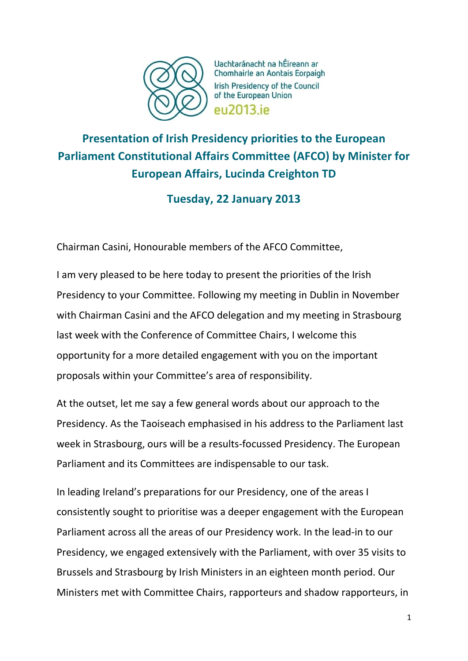

Uachtaránacht na hÉireann ar Chomhairle an Aontais Eorpaigh Irish Presidency of the Council of the European Union **PU2013** iP

## **Presentation of Irish Presidency priorities to the European Parliament Constitutional Affairs Committee (AFCO) by Minister for European Affairs, Lucinda Creighton TD**

## **Tuesday, 22 January 2013**

Chairman Casini, Honourable members of the AFCO Committee,

I am very pleased to be here today to present the priorities of the Irish Presidency to your Committee. Following my meeting in Dublin in November with Chairman Casini and the AFCO delegation and my meeting in Strasbourg last week with the Conference of Committee Chairs, I welcome this opportunity for a more detailed engagement with you on the important proposals within your Committee's area of responsibility.

At the outset, let me say a few general words about our approach to the Presidency. As the Taoiseach emphasised in his address to the Parliament last week in Strasbourg, ours will be a results-focussed Presidency. The European Parliament and its Committees are indispensable to our task.

In leading Ireland's preparations for our Presidency, one of the areas I consistently sought to prioritise was a deeper engagement with the European Parliament across all the areas of our Presidency work. In the lead-in to our Presidency, we engaged extensively with the Parliament, with over 35 visits to Brussels and Strasbourg by Irish Ministers in an eighteen month period. Our Ministers met with Committee Chairs, rapporteurs and shadow rapporteurs, in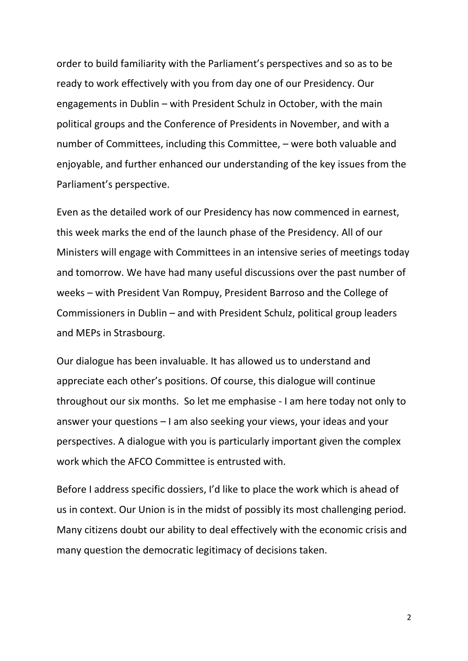order to build familiarity with the Parliament's perspectives and so as to be ready to work effectively with you from day one of our Presidency. Our engagements in Dublin – with President Schulz in October, with the main political groups and the Conference of Presidents in November, and with a number of Committees, including this Committee, – were both valuable and enjoyable, and further enhanced our understanding of the key issues from the Parliament's perspective.

Even as the detailed work of our Presidency has now commenced in earnest, this week marks the end of the launch phase of the Presidency. All of our Ministers will engage with Committees in an intensive series of meetings today and tomorrow. We have had many useful discussions over the past number of weeks – with President Van Rompuy, President Barroso and the College of Commissioners in Dublin – and with President Schulz, political group leaders and MEPs in Strasbourg.

Our dialogue has been invaluable. It has allowed us to understand and appreciate each other's positions. Of course, this dialogue will continue throughout our six months. So let me emphasise - I am here today not only to answer your questions – I am also seeking your views, your ideas and your perspectives. A dialogue with you is particularly important given the complex work which the AFCO Committee is entrusted with.

Before I address specific dossiers, I'd like to place the work which is ahead of us in context. Our Union is in the midst of possibly its most challenging period. Many citizens doubt our ability to deal effectively with the economic crisis and many question the democratic legitimacy of decisions taken.

2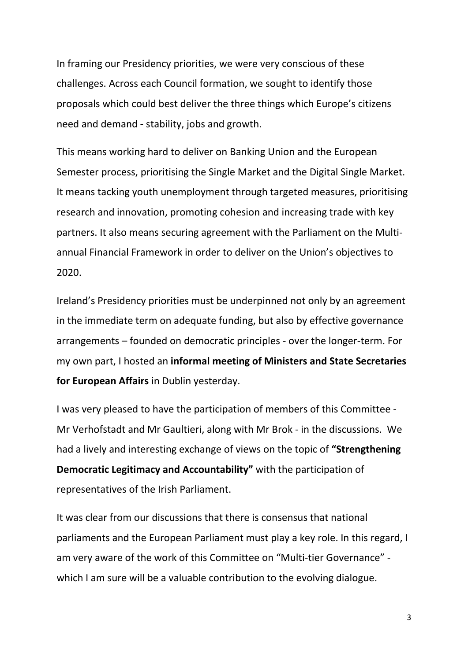In framing our Presidency priorities, we were very conscious of these challenges. Across each Council formation, we sought to identify those proposals which could best deliver the three things which Europe's citizens need and demand - stability, jobs and growth.

This means working hard to deliver on Banking Union and the European Semester process, prioritising the Single Market and the Digital Single Market. It means tacking youth unemployment through targeted measures, prioritising research and innovation, promoting cohesion and increasing trade with key partners. It also means securing agreement with the Parliament on the Multiannual Financial Framework in order to deliver on the Union's objectives to 2020.

Ireland's Presidency priorities must be underpinned not only by an agreement in the immediate term on adequate funding, but also by effective governance arrangements – founded on democratic principles - over the longer-term. For my own part, I hosted an **informal meeting of Ministers and State Secretaries for European Affairs** in Dublin yesterday.

I was very pleased to have the participation of members of this Committee - Mr Verhofstadt and Mr Gaultieri, along with Mr Brok - in the discussions. We had a lively and interesting exchange of views on the topic of **"Strengthening Democratic Legitimacy and Accountability"** with the participation of representatives of the Irish Parliament.

It was clear from our discussions that there is consensus that national parliaments and the European Parliament must play a key role. In this regard, I am very aware of the work of this Committee on "Multi-tier Governance" which I am sure will be a valuable contribution to the evolving dialogue.

3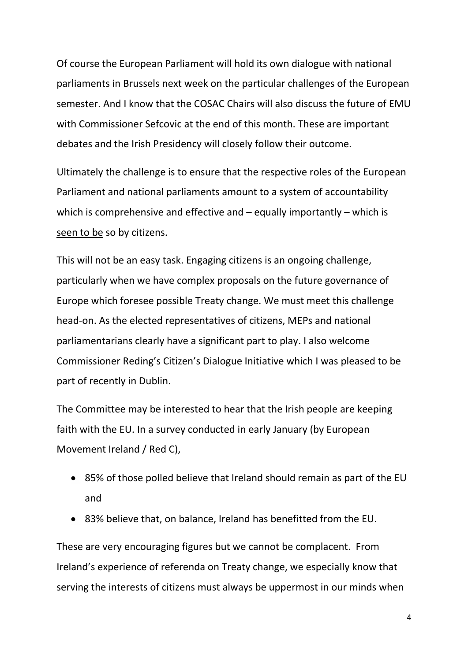Of course the European Parliament will hold its own dialogue with national parliaments in Brussels next week on the particular challenges of the European semester. And I know that the COSAC Chairs will also discuss the future of EMU with Commissioner Sefcovic at the end of this month. These are important debates and the Irish Presidency will closely follow their outcome.

Ultimately the challenge is to ensure that the respective roles of the European Parliament and national parliaments amount to a system of accountability which is comprehensive and effective and – equally importantly – which is seen to be so by citizens.

This will not be an easy task. Engaging citizens is an ongoing challenge, particularly when we have complex proposals on the future governance of Europe which foresee possible Treaty change. We must meet this challenge head-on. As the elected representatives of citizens, MEPs and national parliamentarians clearly have a significant part to play. I also welcome Commissioner Reding's Citizen's Dialogue Initiative which I was pleased to be part of recently in Dublin.

The Committee may be interested to hear that the Irish people are keeping faith with the EU. In a survey conducted in early January (by European Movement Ireland / Red C),

- 85% of those polled believe that Ireland should remain as part of the EU and
- 83% believe that, on balance, Ireland has benefitted from the EU.

These are very encouraging figures but we cannot be complacent. From Ireland's experience of referenda on Treaty change, we especially know that serving the interests of citizens must always be uppermost in our minds when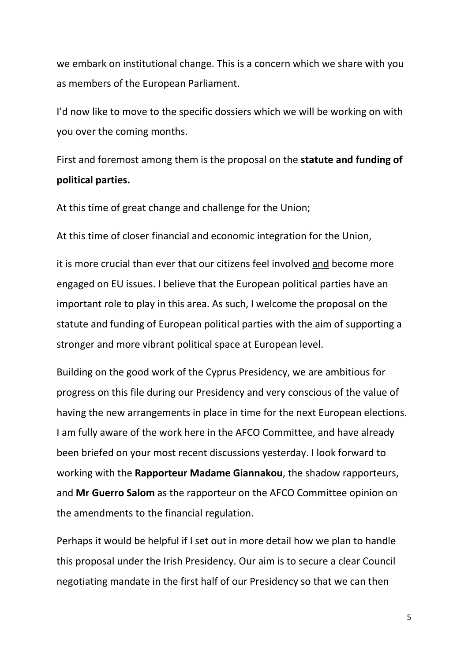we embark on institutional change. This is a concern which we share with you as members of the European Parliament.

I'd now like to move to the specific dossiers which we will be working on with you over the coming months.

First and foremost among them is the proposal on the **statute and funding of political parties.**

At this time of great change and challenge for the Union;

At this time of closer financial and economic integration for the Union,

it is more crucial than ever that our citizens feel involved and become more engaged on EU issues. I believe that the European political parties have an important role to play in this area. As such, I welcome the proposal on the statute and funding of European political parties with the aim of supporting a stronger and more vibrant political space at European level.

Building on the good work of the Cyprus Presidency, we are ambitious for progress on this file during our Presidency and very conscious of the value of having the new arrangements in place in time for the next European elections. I am fully aware of the work here in the AFCO Committee, and have already been briefed on your most recent discussions yesterday. I look forward to working with the **Rapporteur Madame Giannakou**, the shadow rapporteurs, and **Mr Guerro Salom** as the rapporteur on the AFCO Committee opinion on the amendments to the financial regulation.

Perhaps it would be helpful if I set out in more detail how we plan to handle this proposal under the Irish Presidency. Our aim is to secure a clear Council negotiating mandate in the first half of our Presidency so that we can then

5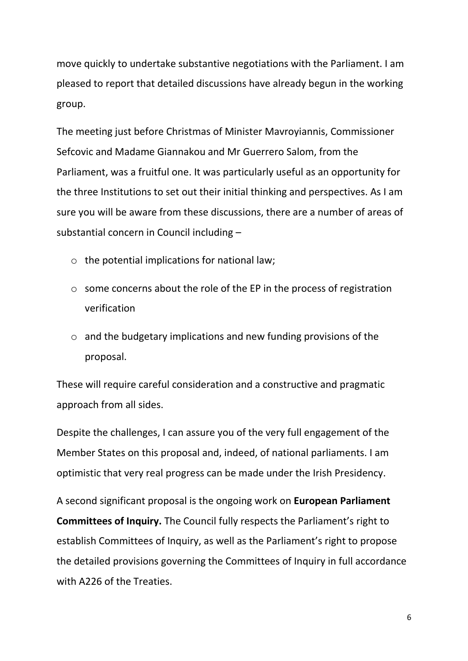move quickly to undertake substantive negotiations with the Parliament. I am pleased to report that detailed discussions have already begun in the working group.

The meeting just before Christmas of Minister Mavroyiannis, Commissioner Sefcovic and Madame Giannakou and Mr Guerrero Salom, from the Parliament, was a fruitful one. It was particularly useful as an opportunity for the three Institutions to set out their initial thinking and perspectives. As I am sure you will be aware from these discussions, there are a number of areas of substantial concern in Council including –

- $\circ$  the potential implications for national law;
- o some concerns about the role of the EP in the process of registration verification
- o and the budgetary implications and new funding provisions of the proposal.

These will require careful consideration and a constructive and pragmatic approach from all sides.

Despite the challenges, I can assure you of the very full engagement of the Member States on this proposal and, indeed, of national parliaments. I am optimistic that very real progress can be made under the Irish Presidency.

A second significant proposal is the ongoing work on **European Parliament Committees of Inquiry.** The Council fully respects the Parliament's right to establish Committees of Inquiry, as well as the Parliament's right to propose the detailed provisions governing the Committees of Inquiry in full accordance with A226 of the Treaties.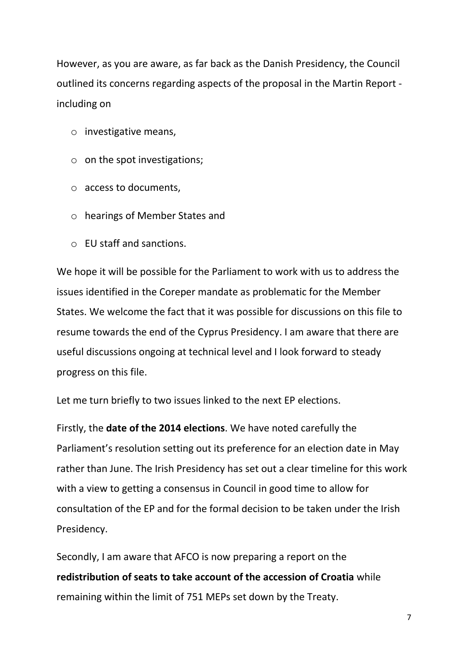However, as you are aware, as far back as the Danish Presidency, the Council outlined its concerns regarding aspects of the proposal in the Martin Report including on

- o investigative means,
- o on the spot investigations;
- o access to documents,
- o hearings of Member States and
- o EU staff and sanctions.

We hope it will be possible for the Parliament to work with us to address the issues identified in the Coreper mandate as problematic for the Member States. We welcome the fact that it was possible for discussions on this file to resume towards the end of the Cyprus Presidency. I am aware that there are useful discussions ongoing at technical level and I look forward to steady progress on this file.

Let me turn briefly to two issues linked to the next EP elections.

Firstly, the **date of the 2014 elections**. We have noted carefully the Parliament's resolution setting out its preference for an election date in May rather than June. The Irish Presidency has set out a clear timeline for this work with a view to getting a consensus in Council in good time to allow for consultation of the EP and for the formal decision to be taken under the Irish Presidency.

Secondly, I am aware that AFCO is now preparing a report on the **redistribution of seats to take account of the accession of Croatia** while remaining within the limit of 751 MEPs set down by the Treaty.